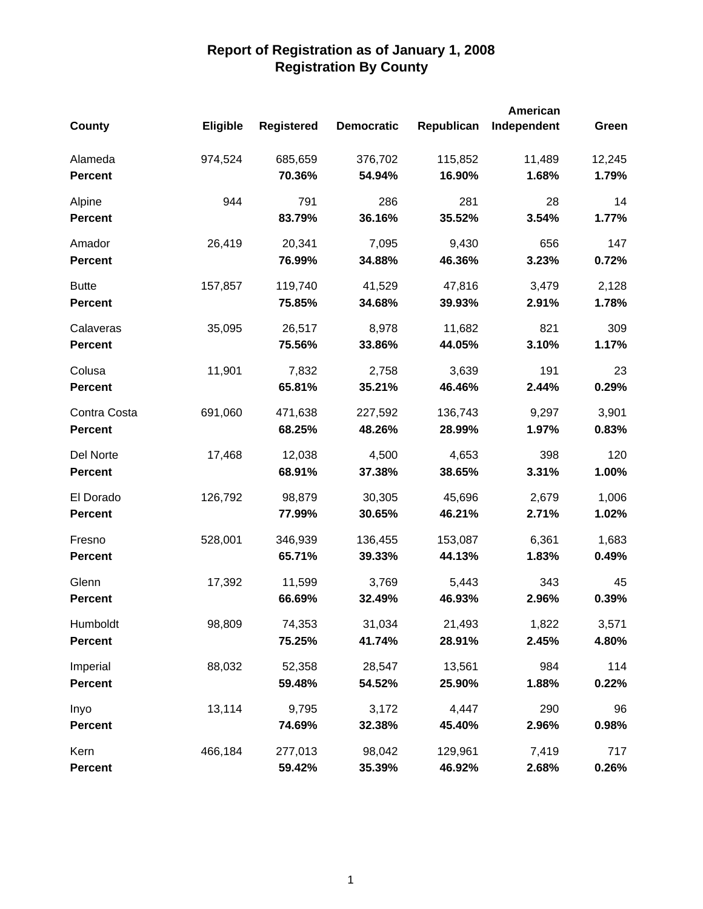|                |          |                   |                   |            | <b>American</b> |        |
|----------------|----------|-------------------|-------------------|------------|-----------------|--------|
| <b>County</b>  | Eligible | <b>Registered</b> | <b>Democratic</b> | Republican | Independent     | Green  |
| Alameda        | 974,524  | 685,659           | 376,702           | 115,852    | 11,489          | 12,245 |
| <b>Percent</b> |          | 70.36%            | 54.94%            | 16.90%     | 1.68%           | 1.79%  |
| Alpine         | 944      | 791               | 286               | 281        | 28              | 14     |
| <b>Percent</b> |          | 83.79%            | 36.16%            | 35.52%     | 3.54%           | 1.77%  |
| Amador         | 26,419   | 20,341            | 7,095             | 9,430      | 656             | 147    |
| <b>Percent</b> |          | 76.99%            | 34.88%            | 46.36%     | 3.23%           | 0.72%  |
| <b>Butte</b>   | 157,857  | 119,740           | 41,529            | 47,816     | 3,479           | 2,128  |
| <b>Percent</b> |          | 75.85%            | 34.68%            | 39.93%     | 2.91%           | 1.78%  |
| Calaveras      | 35,095   | 26,517            | 8,978             | 11,682     | 821             | 309    |
| <b>Percent</b> |          | 75.56%            | 33.86%            | 44.05%     | 3.10%           | 1.17%  |
| Colusa         | 11,901   | 7,832             | 2,758             | 3,639      | 191             | 23     |
| <b>Percent</b> |          | 65.81%            | 35.21%            | 46.46%     | 2.44%           | 0.29%  |
| Contra Costa   | 691,060  | 471,638           | 227,592           | 136,743    | 9,297           | 3,901  |
| <b>Percent</b> |          | 68.25%            | 48.26%            | 28.99%     | 1.97%           | 0.83%  |
| Del Norte      | 17,468   | 12,038            | 4,500             | 4,653      | 398             | 120    |
| <b>Percent</b> |          | 68.91%            | 37.38%            | 38.65%     | 3.31%           | 1.00%  |
| El Dorado      | 126,792  | 98,879            | 30,305            | 45,696     | 2,679           | 1,006  |
| <b>Percent</b> |          | 77.99%            | 30.65%            | 46.21%     | 2.71%           | 1.02%  |
| Fresno         | 528,001  | 346,939           | 136,455           | 153,087    | 6,361           | 1,683  |
| <b>Percent</b> |          | 65.71%            | 39.33%            | 44.13%     | 1.83%           | 0.49%  |
| Glenn          | 17,392   | 11,599            | 3,769             | 5,443      | 343             | 45     |
| <b>Percent</b> |          | 66.69%            | 32.49%            | 46.93%     | 2.96%           | 0.39%  |
| Humboldt       | 98,809   | 74,353            | 31,034            | 21,493     | 1,822           | 3,571  |
| <b>Percent</b> |          | 75.25%            | 41.74%            | 28.91%     | 2.45%           | 4.80%  |
| Imperial       | 88,032   | 52,358            | 28,547            | 13,561     | 984             | 114    |
| <b>Percent</b> |          | 59.48%            | 54.52%            | 25.90%     | 1.88%           | 0.22%  |
| Inyo           | 13,114   | 9,795             | 3,172             | 4,447      | 290             | 96     |
| <b>Percent</b> |          | 74.69%            | 32.38%            | 45.40%     | 2.96%           | 0.98%  |
| Kern           | 466,184  | 277,013           | 98,042            | 129,961    | 7,419           | 717    |
| <b>Percent</b> |          | 59.42%            | 35.39%            | 46.92%     | 2.68%           | 0.26%  |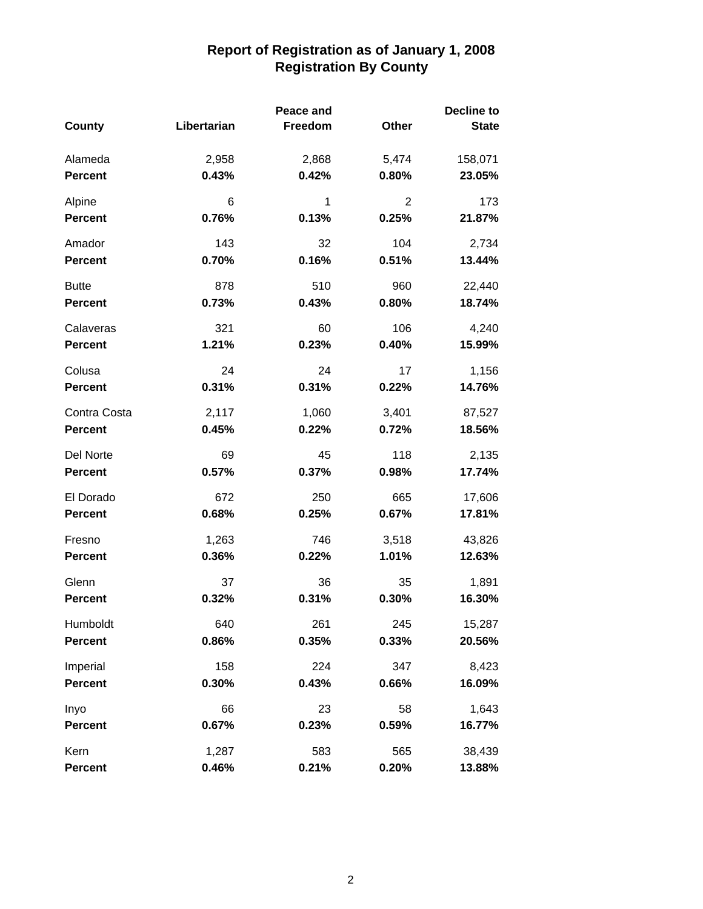|                |             | Peace and |       | <b>Decline to</b> |
|----------------|-------------|-----------|-------|-------------------|
| County         | Libertarian | Freedom   | Other | <b>State</b>      |
| Alameda        | 2,958       | 2,868     | 5,474 | 158,071           |
| <b>Percent</b> | 0.43%       | 0.42%     | 0.80% | 23.05%            |
| Alpine         | 6           | 1         | 2     | 173               |
| <b>Percent</b> | 0.76%       | 0.13%     | 0.25% | 21.87%            |
| Amador         | 143         | 32        | 104   | 2,734             |
| <b>Percent</b> | 0.70%       | 0.16%     | 0.51% | 13.44%            |
| <b>Butte</b>   | 878         | 510       | 960   | 22,440            |
| <b>Percent</b> | 0.73%       | 0.43%     | 0.80% | 18.74%            |
| Calaveras      | 321         | 60        | 106   | 4,240             |
| <b>Percent</b> | 1.21%       | 0.23%     | 0.40% | 15.99%            |
| Colusa         | 24          | 24        | 17    | 1,156             |
| <b>Percent</b> | 0.31%       | 0.31%     | 0.22% | 14.76%            |
| Contra Costa   | 2,117       | 1,060     | 3,401 | 87,527            |
| <b>Percent</b> | 0.45%       | 0.22%     | 0.72% | 18.56%            |
| Del Norte      | 69          | 45        | 118   | 2,135             |
| <b>Percent</b> | 0.57%       | 0.37%     | 0.98% | 17.74%            |
| El Dorado      | 672         | 250       | 665   | 17,606            |
| <b>Percent</b> | 0.68%       | 0.25%     | 0.67% | 17.81%            |
| Fresno         | 1,263       | 746       | 3,518 | 43,826            |
| <b>Percent</b> | 0.36%       | 0.22%     | 1.01% | 12.63%            |
| Glenn          | 37          | 36        | 35    | 1,891             |
| <b>Percent</b> | 0.32%       | 0.31%     | 0.30% | 16.30%            |
| Humboldt       | 640         | 261       | 245   | 15,287            |
| <b>Percent</b> | 0.86%       | 0.35%     | 0.33% | 20.56%            |
| Imperial       | 158         | 224       | 347   | 8,423             |
| <b>Percent</b> | 0.30%       | 0.43%     | 0.66% | 16.09%            |
| Inyo           | 66          | 23        | 58    | 1,643             |
| <b>Percent</b> | 0.67%       | 0.23%     | 0.59% | 16.77%            |
| Kern           | 1,287       | 583       | 565   | 38,439            |
| <b>Percent</b> | 0.46%       | 0.21%     | 0.20% | 13.88%            |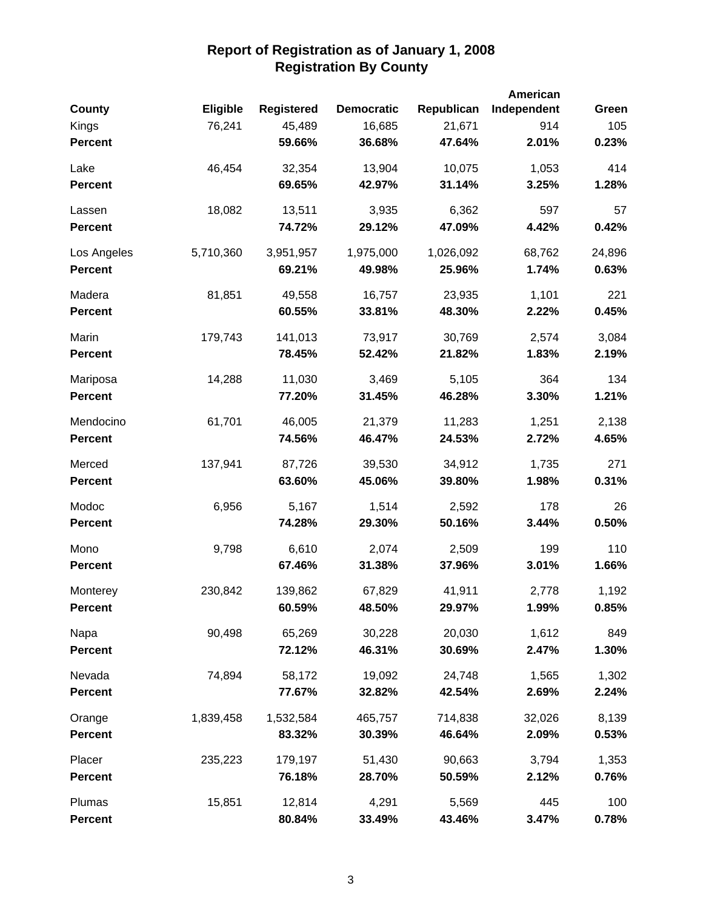| County         | <b>Eligible</b> | <b>Registered</b> | <b>Democratic</b> | Republican | American<br>Independent | Green  |
|----------------|-----------------|-------------------|-------------------|------------|-------------------------|--------|
| Kings          | 76,241          | 45,489            | 16,685            | 21,671     | 914                     | 105    |
| <b>Percent</b> |                 | 59.66%            | 36.68%            | 47.64%     | 2.01%                   | 0.23%  |
| Lake           | 46,454          | 32,354            | 13,904            | 10,075     | 1,053                   | 414    |
| <b>Percent</b> |                 | 69.65%            | 42.97%            | 31.14%     | 3.25%                   | 1.28%  |
| Lassen         | 18,082          | 13,511            | 3,935             | 6,362      | 597                     | 57     |
| <b>Percent</b> |                 | 74.72%            | 29.12%            | 47.09%     | 4.42%                   | 0.42%  |
| Los Angeles    | 5,710,360       | 3,951,957         | 1,975,000         | 1,026,092  | 68,762                  | 24,896 |
| <b>Percent</b> |                 | 69.21%            | 49.98%            | 25.96%     | 1.74%                   | 0.63%  |
| Madera         | 81,851          | 49,558            | 16,757            | 23,935     | 1,101                   | 221    |
| <b>Percent</b> |                 | 60.55%            | 33.81%            | 48.30%     | 2.22%                   | 0.45%  |
| Marin          | 179,743         | 141,013           | 73,917            | 30,769     | 2,574                   | 3,084  |
| <b>Percent</b> |                 | 78.45%            | 52.42%            | 21.82%     | 1.83%                   | 2.19%  |
| Mariposa       | 14,288          | 11,030            | 3,469             | 5,105      | 364                     | 134    |
| <b>Percent</b> |                 | 77.20%            | 31.45%            | 46.28%     | 3.30%                   | 1.21%  |
| Mendocino      | 61,701          | 46,005            | 21,379            | 11,283     | 1,251                   | 2,138  |
| <b>Percent</b> |                 | 74.56%            | 46.47%            | 24.53%     | 2.72%                   | 4.65%  |
| Merced         | 137,941         | 87,726            | 39,530            | 34,912     | 1,735                   | 271    |
| <b>Percent</b> |                 | 63.60%            | 45.06%            | 39.80%     | 1.98%                   | 0.31%  |
| Modoc          | 6,956           | 5,167             | 1,514             | 2,592      | 178                     | 26     |
| <b>Percent</b> |                 | 74.28%            | 29.30%            | 50.16%     | 3.44%                   | 0.50%  |
| Mono           | 9,798           | 6,610             | 2,074             | 2,509      | 199                     | 110    |
| <b>Percent</b> |                 | 67.46%            | 31.38%            | 37.96%     | 3.01%                   | 1.66%  |
| Monterey       | 230,842         | 139,862           | 67,829            | 41,911     | 2,778                   | 1,192  |
| <b>Percent</b> |                 | 60.59%            | 48.50%            | 29.97%     | 1.99%                   | 0.85%  |
| Napa           | 90,498          | 65,269            | 30,228            | 20,030     | 1,612                   | 849    |
| <b>Percent</b> |                 | 72.12%            | 46.31%            | 30.69%     | 2.47%                   | 1.30%  |
| Nevada         | 74,894          | 58,172            | 19,092            | 24,748     | 1,565                   | 1,302  |
| <b>Percent</b> |                 | 77.67%            | 32.82%            | 42.54%     | 2.69%                   | 2.24%  |
| Orange         | 1,839,458       | 1,532,584         | 465,757           | 714,838    | 32,026                  | 8,139  |
| <b>Percent</b> |                 | 83.32%            | 30.39%            | 46.64%     | 2.09%                   | 0.53%  |
| Placer         | 235,223         | 179,197           | 51,430            | 90,663     | 3,794                   | 1,353  |
| <b>Percent</b> |                 | 76.18%            | 28.70%            | 50.59%     | 2.12%                   | 0.76%  |
| Plumas         | 15,851          | 12,814            | 4,291             | 5,569      | 445                     | 100    |
| <b>Percent</b> |                 | 80.84%            | 33.49%            | 43.46%     | 3.47%                   | 0.78%  |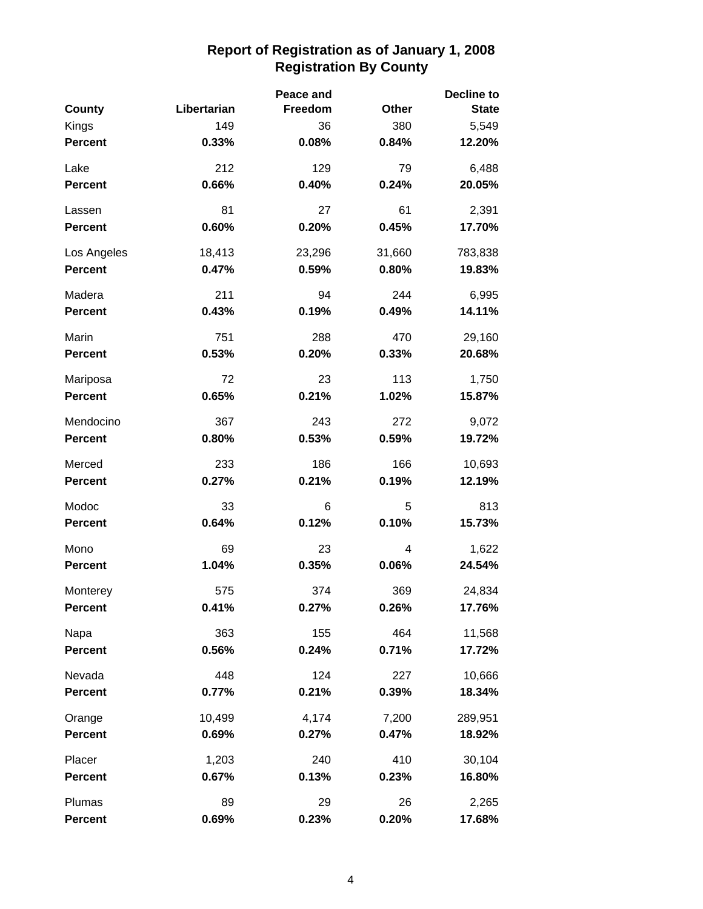|                |             | Peace and |        | Decline to   |
|----------------|-------------|-----------|--------|--------------|
| County         | Libertarian | Freedom   | Other  | <b>State</b> |
| Kings          | 149         | 36        | 380    | 5,549        |
| <b>Percent</b> | 0.33%       | 0.08%     | 0.84%  | 12.20%       |
| Lake           | 212         | 129       | 79     | 6,488        |
| <b>Percent</b> | 0.66%       | 0.40%     | 0.24%  | 20.05%       |
| Lassen         | 81          | 27        | 61     | 2,391        |
| <b>Percent</b> | 0.60%       | 0.20%     | 0.45%  | 17.70%       |
| Los Angeles    | 18,413      | 23,296    | 31,660 | 783,838      |
| <b>Percent</b> | 0.47%       | 0.59%     | 0.80%  | 19.83%       |
| Madera         | 211         | 94        | 244    | 6,995        |
| <b>Percent</b> | 0.43%       | 0.19%     | 0.49%  | 14.11%       |
| Marin          | 751         | 288       | 470    | 29,160       |
| <b>Percent</b> | 0.53%       | 0.20%     | 0.33%  | 20.68%       |
| Mariposa       | 72          | 23        | 113    | 1,750        |
| <b>Percent</b> | 0.65%       | 0.21%     | 1.02%  | 15.87%       |
| Mendocino      | 367         | 243       | 272    | 9,072        |
| <b>Percent</b> | 0.80%       | 0.53%     | 0.59%  | 19.72%       |
| Merced         | 233         | 186       | 166    | 10,693       |
| <b>Percent</b> | 0.27%       | 0.21%     | 0.19%  | 12.19%       |
| Modoc          | 33          | 6         | 5      | 813          |
| <b>Percent</b> | 0.64%       | 0.12%     | 0.10%  | 15.73%       |
| Mono           | 69          | 23        | 4      | 1,622        |
| <b>Percent</b> | 1.04%       | 0.35%     | 0.06%  | 24.54%       |
| Monterey       | 575         | 374       | 369    | 24,834       |
| Percent        | $0.41\%$    | 0.27%     | 0.26%  | 17.76%       |
| Napa           | 363         | 155       | 464    | 11,568       |
| <b>Percent</b> | 0.56%       | 0.24%     | 0.71%  | 17.72%       |
| Nevada         | 448         | 124       | 227    | 10,666       |
| <b>Percent</b> | 0.77%       | 0.21%     | 0.39%  | 18.34%       |
| Orange         | 10,499      | 4,174     | 7,200  | 289,951      |
| <b>Percent</b> | 0.69%       | 0.27%     | 0.47%  | 18.92%       |
| Placer         | 1,203       | 240       | 410    | 30,104       |
| <b>Percent</b> | 0.67%       | 0.13%     | 0.23%  | 16.80%       |
| Plumas         | 89          | 29        | 26     | 2,265        |
| <b>Percent</b> | 0.69%       | 0.23%     | 0.20%  | 17.68%       |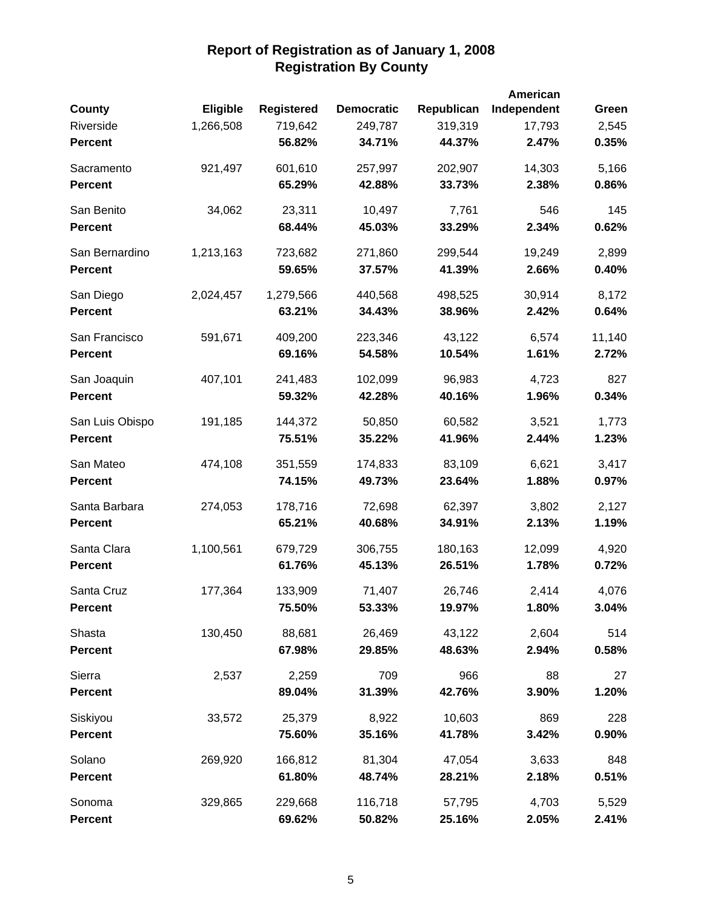|                 |           |                   |                   |            | American    |        |
|-----------------|-----------|-------------------|-------------------|------------|-------------|--------|
| County          | Eligible  | <b>Registered</b> | <b>Democratic</b> | Republican | Independent | Green  |
| Riverside       | 1,266,508 | 719,642           | 249,787           | 319,319    | 17,793      | 2,545  |
| <b>Percent</b>  |           | 56.82%            | 34.71%            | 44.37%     | 2.47%       | 0.35%  |
| Sacramento      | 921,497   | 601,610           | 257,997           | 202,907    | 14,303      | 5,166  |
| <b>Percent</b>  |           | 65.29%            | 42.88%            | 33.73%     | 2.38%       | 0.86%  |
| San Benito      | 34,062    | 23,311            | 10,497            | 7,761      | 546         | 145    |
| <b>Percent</b>  |           | 68.44%            | 45.03%            | 33.29%     | 2.34%       | 0.62%  |
| San Bernardino  | 1,213,163 | 723,682           | 271,860           | 299,544    | 19,249      | 2,899  |
| <b>Percent</b>  |           | 59.65%            | 37.57%            | 41.39%     | 2.66%       | 0.40%  |
| San Diego       | 2,024,457 | 1,279,566         | 440,568           | 498,525    | 30,914      | 8,172  |
| <b>Percent</b>  |           | 63.21%            | 34.43%            | 38.96%     | 2.42%       | 0.64%  |
| San Francisco   | 591,671   | 409,200           | 223,346           | 43,122     | 6,574       | 11,140 |
| <b>Percent</b>  |           | 69.16%            | 54.58%            | 10.54%     | 1.61%       | 2.72%  |
| San Joaquin     | 407,101   | 241,483           | 102,099           | 96,983     | 4,723       | 827    |
| <b>Percent</b>  |           | 59.32%            | 42.28%            | 40.16%     | 1.96%       | 0.34%  |
| San Luis Obispo | 191,185   | 144,372           | 50,850            | 60,582     | 3,521       | 1,773  |
| <b>Percent</b>  |           | 75.51%            | 35.22%            | 41.96%     | 2.44%       | 1.23%  |
| San Mateo       | 474,108   | 351,559           | 174,833           | 83,109     | 6,621       | 3,417  |
| <b>Percent</b>  |           | 74.15%            | 49.73%            | 23.64%     | 1.88%       | 0.97%  |
| Santa Barbara   | 274,053   | 178,716           | 72,698            | 62,397     | 3,802       | 2,127  |
| <b>Percent</b>  |           | 65.21%            | 40.68%            | 34.91%     | 2.13%       | 1.19%  |
| Santa Clara     | 1,100,561 | 679,729           | 306,755           | 180,163    | 12,099      | 4,920  |
| <b>Percent</b>  |           | 61.76%            | 45.13%            | 26.51%     | 1.78%       | 0.72%  |
| Santa Cruz      | 177,364   | 133,909           | 71,407            | 26,746     | 2,414       | 4,076  |
| <b>Percent</b>  |           | 75.50%            | 53.33%            | 19.97%     | 1.80%       | 3.04%  |
| Shasta          | 130,450   | 88,681            | 26,469            | 43,122     | 2,604       | 514    |
| <b>Percent</b>  |           | 67.98%            | 29.85%            | 48.63%     | 2.94%       | 0.58%  |
| Sierra          | 2,537     | 2,259             | 709               | 966        | 88          | 27     |
| <b>Percent</b>  |           | 89.04%            | 31.39%            | 42.76%     | 3.90%       | 1.20%  |
| Siskiyou        | 33,572    | 25,379            | 8,922             | 10,603     | 869         | 228    |
| <b>Percent</b>  |           | 75.60%            | 35.16%            | 41.78%     | 3.42%       | 0.90%  |
| Solano          | 269,920   | 166,812           | 81,304            | 47,054     | 3,633       | 848    |
| <b>Percent</b>  |           | 61.80%            | 48.74%            | 28.21%     | 2.18%       | 0.51%  |
| Sonoma          | 329,865   | 229,668           | 116,718           | 57,795     | 4,703       | 5,529  |
| <b>Percent</b>  |           | 69.62%            | 50.82%            | 25.16%     | 2.05%       | 2.41%  |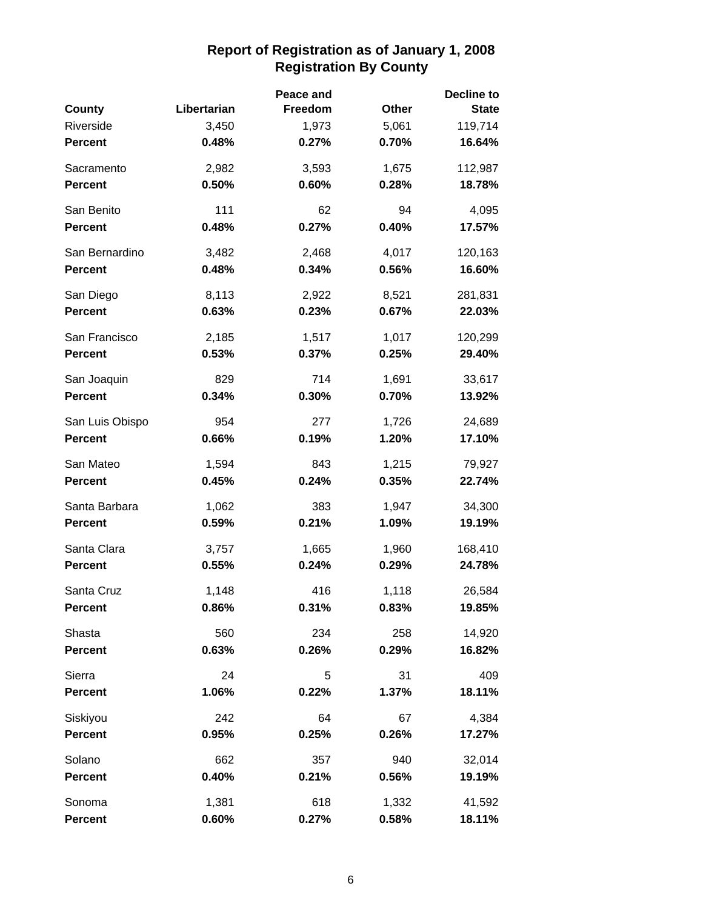|                 |             | Peace and |       | Decline to   |
|-----------------|-------------|-----------|-------|--------------|
| <b>County</b>   | Libertarian | Freedom   | Other | <b>State</b> |
| Riverside       | 3,450       | 1,973     | 5,061 | 119,714      |
| <b>Percent</b>  | 0.48%       | 0.27%     | 0.70% | 16.64%       |
| Sacramento      | 2,982       | 3,593     | 1,675 | 112,987      |
| <b>Percent</b>  | 0.50%       | 0.60%     | 0.28% | 18.78%       |
| San Benito      | 111         | 62        | 94    | 4,095        |
| <b>Percent</b>  | 0.48%       | 0.27%     | 0.40% | 17.57%       |
| San Bernardino  | 3,482       | 2,468     | 4,017 | 120,163      |
| <b>Percent</b>  | 0.48%       | 0.34%     | 0.56% | 16.60%       |
| San Diego       | 8,113       | 2,922     | 8,521 | 281,831      |
| <b>Percent</b>  | 0.63%       | 0.23%     | 0.67% | 22.03%       |
| San Francisco   | 2,185       | 1,517     | 1,017 | 120,299      |
| <b>Percent</b>  | 0.53%       | 0.37%     | 0.25% | 29.40%       |
| San Joaquin     | 829         | 714       | 1,691 | 33,617       |
| <b>Percent</b>  | 0.34%       | 0.30%     | 0.70% | 13.92%       |
| San Luis Obispo | 954         | 277       | 1,726 | 24,689       |
| <b>Percent</b>  | 0.66%       | 0.19%     | 1.20% | 17.10%       |
| San Mateo       | 1,594       | 843       | 1,215 | 79,927       |
| <b>Percent</b>  | 0.45%       | 0.24%     | 0.35% | 22.74%       |
| Santa Barbara   | 1,062       | 383       | 1,947 | 34,300       |
| <b>Percent</b>  | 0.59%       | 0.21%     | 1.09% | 19.19%       |
| Santa Clara     | 3,757       | 1,665     | 1,960 | 168,410      |
| <b>Percent</b>  | 0.55%       | 0.24%     | 0.29% | 24.78%       |
| Santa Cruz      | 1,148       | 416       | 1,118 | 26,584       |
| <b>Percent</b>  | 0.86%       | 0.31%     | 0.83% | 19.85%       |
| Shasta          | 560         | 234       | 258   | 14,920       |
| <b>Percent</b>  | 0.63%       | 0.26%     | 0.29% | 16.82%       |
| Sierra          | 24          | 5         | 31    | 409          |
| <b>Percent</b>  | 1.06%       | 0.22%     | 1.37% | 18.11%       |
| Siskiyou        | 242         | 64        | 67    | 4,384        |
| <b>Percent</b>  | 0.95%       | 0.25%     | 0.26% | 17.27%       |
| Solano          | 662         | 357       | 940   | 32,014       |
| <b>Percent</b>  | 0.40%       | 0.21%     | 0.56% | 19.19%       |
| Sonoma          | 1,381       | 618       | 1,332 | 41,592       |
| <b>Percent</b>  | 0.60%       | 0.27%     | 0.58% | 18.11%       |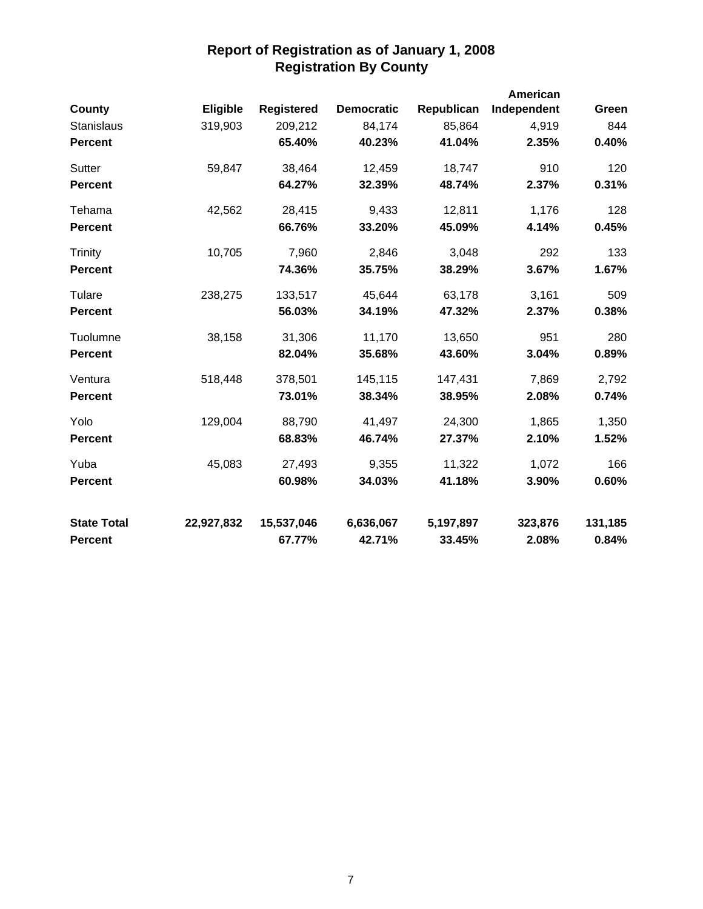|                    |            |                   |                   |            | American    |         |
|--------------------|------------|-------------------|-------------------|------------|-------------|---------|
| <b>County</b>      | Eligible   | <b>Registered</b> | <b>Democratic</b> | Republican | Independent | Green   |
| <b>Stanislaus</b>  | 319,903    | 209,212           | 84,174            | 85,864     | 4,919       | 844     |
| <b>Percent</b>     |            | 65.40%            | 40.23%            | 41.04%     | 2.35%       | 0.40%   |
| Sutter             | 59,847     | 38,464            | 12,459            | 18,747     | 910         | 120     |
| <b>Percent</b>     |            | 64.27%            | 32.39%            | 48.74%     | 2.37%       | 0.31%   |
| Tehama             | 42,562     | 28,415            | 9,433             | 12,811     | 1,176       | 128     |
| <b>Percent</b>     |            | 66.76%            | 33.20%            | 45.09%     | 4.14%       | 0.45%   |
| Trinity            | 10,705     | 7,960             | 2,846             | 3,048      | 292         | 133     |
| <b>Percent</b>     |            | 74.36%            | 35.75%            | 38.29%     | 3.67%       | 1.67%   |
| Tulare             | 238,275    | 133,517           | 45,644            | 63,178     | 3,161       | 509     |
| <b>Percent</b>     |            | 56.03%            | 34.19%            | 47.32%     | 2.37%       | 0.38%   |
| Tuolumne           | 38,158     | 31,306            | 11,170            | 13,650     | 951         | 280     |
| <b>Percent</b>     |            | 82.04%            | 35.68%            | 43.60%     | 3.04%       | 0.89%   |
| Ventura            | 518,448    | 378,501           | 145,115           | 147,431    | 7,869       | 2,792   |
| <b>Percent</b>     |            | 73.01%            | 38.34%            | 38.95%     | 2.08%       | 0.74%   |
| Yolo               | 129,004    | 88,790            | 41,497            | 24,300     | 1,865       | 1,350   |
| <b>Percent</b>     |            | 68.83%            | 46.74%            | 27.37%     | 2.10%       | 1.52%   |
| Yuba               | 45,083     | 27,493            | 9,355             | 11,322     | 1,072       | 166     |
| <b>Percent</b>     |            | 60.98%            | 34.03%            | 41.18%     | 3.90%       | 0.60%   |
| <b>State Total</b> | 22,927,832 | 15,537,046        | 6,636,067         | 5,197,897  | 323,876     | 131,185 |
| <b>Percent</b>     |            | 67.77%            | 42.71%            | 33.45%     | 2.08%       | 0.84%   |